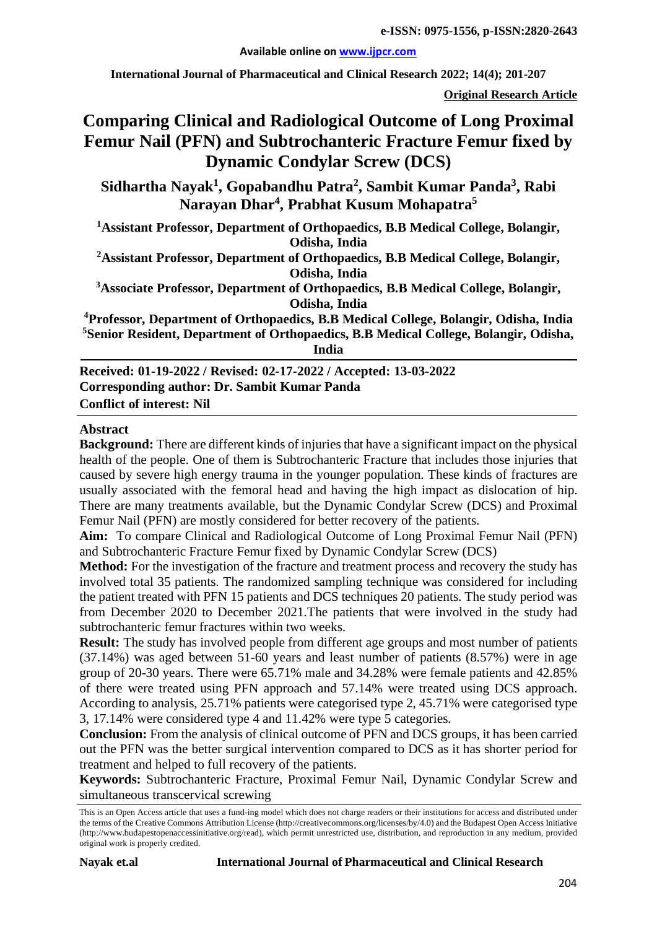**Available online on [www.ijpcr.com](http://www.ijpcr.com/)**

**International Journal of Pharmaceutical and Clinical Research 2022; 14(4); 201-207**

**Original Research Article**

# **Comparing Clinical and Radiological Outcome of Long Proximal Femur Nail (PFN) and Subtrochanteric Fracture Femur fixed by Dynamic Condylar Screw (DCS)**

**Sidhartha Nayak1 , Gopabandhu Patra2 , Sambit Kumar Panda3 , Rabi Narayan Dhar4 , Prabhat Kusum Mohapatra5**

**1 Assistant Professor, Department of Orthopaedics, B.B Medical College, Bolangir, Odisha, India 2 Assistant Professor, Department of Orthopaedics, B.B Medical College, Bolangir, Odisha, India**

**3 Associate Professor, Department of Orthopaedics, B.B Medical College, Bolangir, Odisha, India**

**4 Professor, Department of Orthopaedics, B.B Medical College, Bolangir, Odisha, India 5 Senior Resident, Department of Orthopaedics, B.B Medical College, Bolangir, Odisha, India**

**Received: 01-19-2022 / Revised: 02-17-2022 / Accepted: 13-03-2022 Corresponding author: Dr. Sambit Kumar Panda Conflict of interest: Nil**

#### **Abstract**

**Background:** There are different kinds of injuries that have a significant impact on the physical health of the people. One of them is Subtrochanteric Fracture that includes those injuries that caused by severe high energy trauma in the younger population. These kinds of fractures are usually associated with the femoral head and having the high impact as dislocation of hip. There are many treatments available, but the Dynamic Condylar Screw (DCS) and Proximal Femur Nail (PFN) are mostly considered for better recovery of the patients.

**Aim:** To compare Clinical and Radiological Outcome of Long Proximal Femur Nail (PFN) and Subtrochanteric Fracture Femur fixed by Dynamic Condylar Screw (DCS)

**Method:** For the investigation of the fracture and treatment process and recovery the study has involved total 35 patients. The randomized sampling technique was considered for including the patient treated with PFN 15 patients and DCS techniques 20 patients. The study period was from December 2020 to December 2021.The patients that were involved in the study had subtrochanteric femur fractures within two weeks.

**Result:** The study has involved people from different age groups and most number of patients (37.14%) was aged between 51-60 years and least number of patients (8.57%) were in age group of 20-30 years. There were 65.71% male and 34.28% were female patients and 42.85% of there were treated using PFN approach and 57.14% were treated using DCS approach. According to analysis, 25.71% patients were categorised type 2, 45.71% were categorised type 3, 17.14% were considered type 4 and 11.42% were type 5 categories.

**Conclusion:** From the analysis of clinical outcome of PFN and DCS groups, it has been carried out the PFN was the better surgical intervention compared to DCS as it has shorter period for treatment and helped to full recovery of the patients.

**Keywords:** Subtrochanteric Fracture, Proximal Femur Nail, Dynamic Condylar Screw and simultaneous transcervical screwing

This is an Open Access article that uses a fund-ing model which does not charge readers or their institutions for access and distributed under the terms of the Creative Commons Attribution License (http://creativecommons.org/licenses/by/4.0) and the Budapest Open Access Initiative (http://www.budapestopenaccessinitiative.org/read), which permit unrestricted use, distribution, and reproduction in any medium, provided original work is properly credited.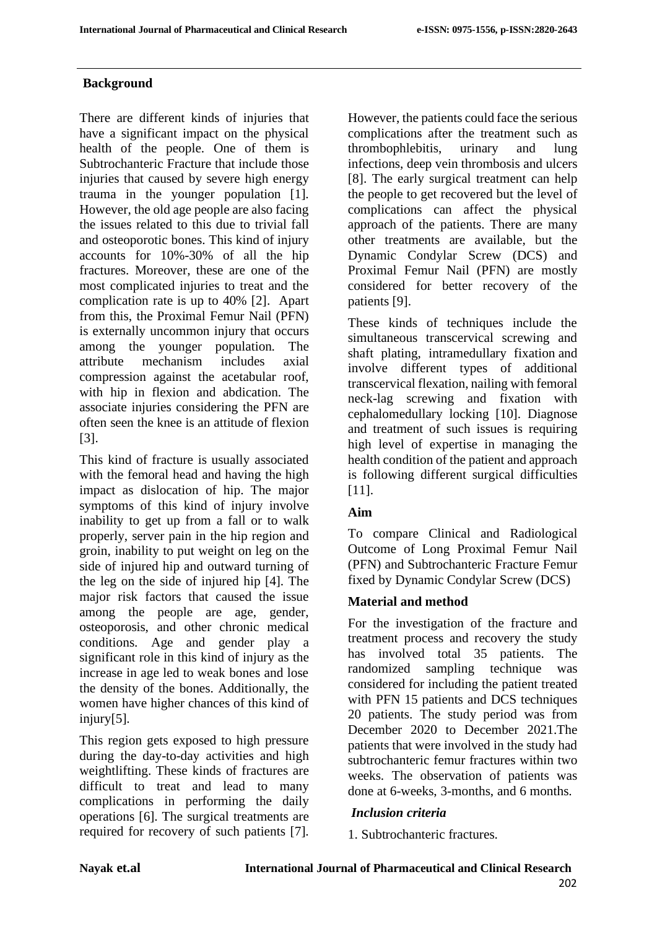# **Background**

There are different kinds of injuries that have a significant impact on the physical health of the people. One of them is Subtrochanteric Fracture that include those injuries that caused by severe high energy trauma in the younger population [1]. However, the old age people are also facing the issues related to this due to trivial fall and osteoporotic bones. This kind of injury accounts for 10%-30% of all the hip fractures. Moreover, these are one of the most complicated injuries to treat and the complication rate is up to 40% [2]. Apart from this, the Proximal Femur Nail (PFN) is externally uncommon injury that occurs among the younger population. The attribute mechanism includes axial compression against the acetabular roof, with hip in flexion and abdication. The associate injuries considering the PFN are often seen the knee is an attitude of flexion [3].

This kind of fracture is usually associated with the femoral head and having the high impact as dislocation of hip. The major symptoms of this kind of injury involve inability to get up from a fall or to walk properly, server pain in the hip region and groin, inability to put weight on leg on the side of injured hip and outward turning of the leg on the side of injured hip [4]. The major risk factors that caused the issue among the people are age, gender, osteoporosis, and other chronic medical conditions. Age and gender play a significant role in this kind of injury as the increase in age led to weak bones and lose the density of the bones. Additionally, the women have higher chances of this kind of injury[5].

This region gets exposed to high pressure during the day-to-day activities and high weightlifting. These kinds of fractures are difficult to treat and lead to many complications in performing the daily operations [6]. The surgical treatments are required for recovery of such patients [7].

However, the patients could face the serious complications after the treatment such as thrombophlebitis, urinary and lung infections, deep vein thrombosis and ulcers [8]. The early surgical treatment can help the people to get recovered but the level of complications can affect the physical approach of the patients. There are many other treatments are available, but the Dynamic Condylar Screw (DCS) and Proximal Femur Nail (PFN) are mostly considered for better recovery of the patients [9].

These kinds of techniques include the simultaneous transcervical screwing and shaft plating, intramedullary fixation and involve different types of additional transcervical flexation, nailing with femoral neck-lag screwing and fixation with cephalomedullary locking [10]. Diagnose and treatment of such issues is requiring high level of expertise in managing the health condition of the patient and approach is following different surgical difficulties [11].

# **Aim**

To compare Clinical and Radiological Outcome of Long Proximal Femur Nail (PFN) and Subtrochanteric Fracture Femur fixed by Dynamic Condylar Screw (DCS)

# **Material and method**

For the investigation of the fracture and treatment process and recovery the study has involved total 35 patients. The randomized sampling technique was considered for including the patient treated with PFN 15 patients and DCS techniques 20 patients. The study period was from December 2020 to December 2021.The patients that were involved in the study had subtrochanteric femur fractures within two weeks. The observation of patients was done at 6-weeks, 3-months, and 6 months.

# *Inclusion criteria*

1. Subtrochanteric fractures.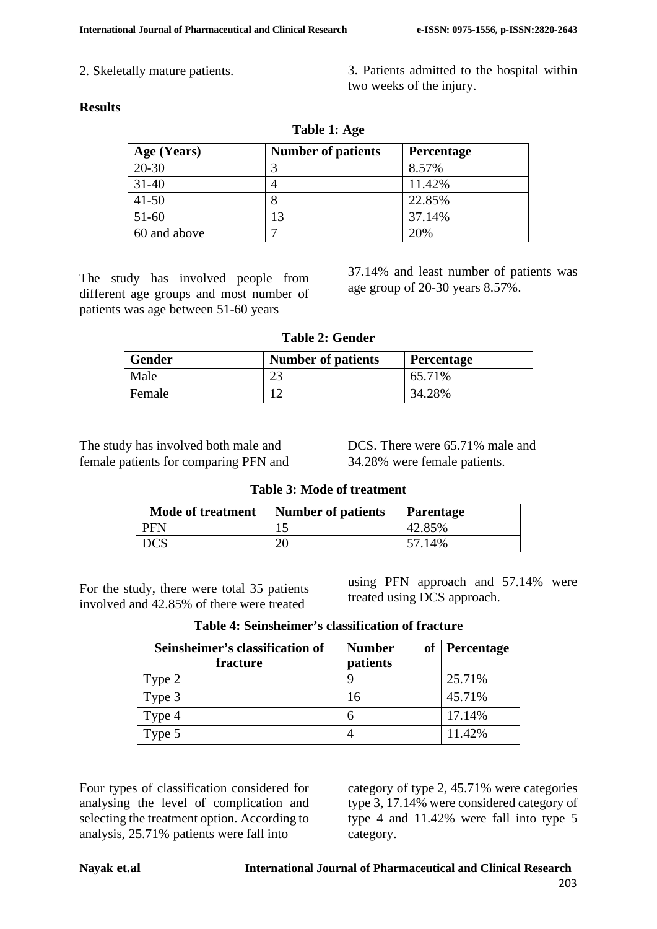2. Skeletally mature patients. 3. Patients admitted to the hospital within two weeks of the injury.

#### **Results**

| Age (Years)  | <b>Number of patients</b> | Percentage |  |  |  |
|--------------|---------------------------|------------|--|--|--|
| 20-30        |                           | 8.57%      |  |  |  |
| $31-40$      |                           | 11.42%     |  |  |  |
| $41 - 50$    |                           | 22.85%     |  |  |  |
| $51-60$      | 13                        | 37.14%     |  |  |  |
| 60 and above | –                         | 20%        |  |  |  |

**Table 1: Age**

The study has involved people from different age groups and most number of patients was age between 51-60 years

37.14% and least number of patients was age group of 20-30 years 8.57%.

**Table 2: Gender**

| <b>Gender</b> | <b>Number of patients</b> | <b>Percentage</b> |  |
|---------------|---------------------------|-------------------|--|
| Male          |                           | 65.71%            |  |
| Female        |                           | 34.28%            |  |

The study has involved both male and female patients for comparing PFN and DCS. There were 65.71% male and 34.28% were female patients.

**Table 3: Mode of treatment**

| <b>Mode of treatment</b> | <b>Number of patients</b> | <b>Parentage</b> |
|--------------------------|---------------------------|------------------|
| PFN                      |                           | 42.85%           |
| DCS                      | 20                        | 57.14%           |

For the study, there were total 35 patients involved and 42.85% of there were treated

using PFN approach and 57.14% were treated using DCS approach.

| Table 4: Seinsheimer's classification of fracture |
|---------------------------------------------------|
|---------------------------------------------------|

| Seinsheimer's classification of<br>fracture | <b>Number</b><br>patients | of Percentage |
|---------------------------------------------|---------------------------|---------------|
| Type 2                                      |                           | 25.71%        |
| Type 3                                      | 16                        | 45.71%        |
| Type 4                                      | h                         | 17.14%        |
| Type 5                                      |                           | 11.42%        |

Four types of classification considered for analysing the level of complication and selecting the treatment option. According to analysis, 25.71% patients were fall into

category of type 2, 45.71% were categories type 3, 17.14% were considered category of type 4 and 11.42% were fall into type 5 category.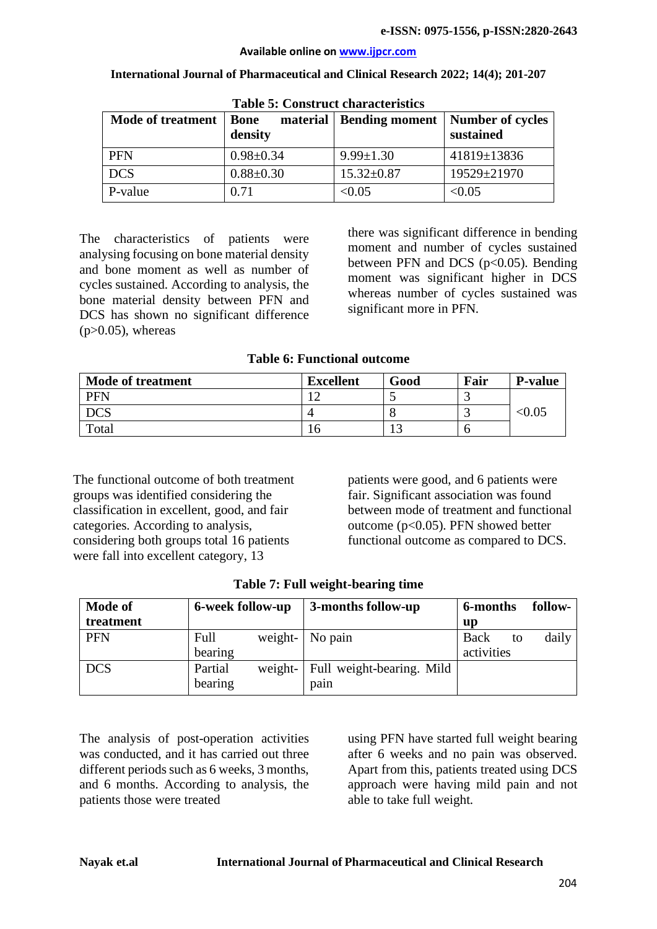#### **Available online on [www.ijpcr.com](http://www.ijpcr.com/)**

| <b>Table 5: Construct characteristics</b> |                        |                           |                                      |  |  |
|-------------------------------------------|------------------------|---------------------------|--------------------------------------|--|--|
| <b>Mode of treatment</b>                  | <b>Bone</b><br>density | material   Bending moment | <b>Number of cycles</b><br>sustained |  |  |
| <b>PFN</b>                                | $0.98 \pm 0.34$        | $9.99 \pm 1.30$           | 41819±13836                          |  |  |
| <b>DCS</b>                                | $0.88 \pm 0.30$        | $15.32 \pm 0.87$          | 19529±21970                          |  |  |
| P-value                                   | 0.71                   | < 0.05                    | < 0.05                               |  |  |

**International Journal of Pharmaceutical and Clinical Research 2022; 14(4); 201-207**

The characteristics of patients were analysing focusing on bone material density and bone moment as well as number of cycles sustained. According to analysis, the bone material density between PFN and DCS has shown no significant difference  $(p>0.05)$ , whereas

there was significant difference in bending moment and number of cycles sustained between PFN and DCS ( $p<0.05$ ). Bending moment was significant higher in DCS whereas number of cycles sustained was significant more in PFN.

#### **Table 6: Functional outcome**

| <b>Mode of treatment</b> | <b>Excellent</b> | Good | Fair | <b>P-value</b> |
|--------------------------|------------------|------|------|----------------|
| <b>PFN</b>               |                  |      |      |                |
|                          |                  |      |      | <0.05          |
| Total                    | I O              |      |      |                |

The functional outcome of both treatment groups was identified considering the classification in excellent, good, and fair categories. According to analysis, considering both groups total 16 patients were fall into excellent category, 13

patients were good, and 6 patients were fair. Significant association was found between mode of treatment and functional outcome (p<0.05). PFN showed better functional outcome as compared to DCS.

| <b>Mode of</b> | 6-week follow-up |         | 3-months follow-up        | 6-months   | follow- |
|----------------|------------------|---------|---------------------------|------------|---------|
| treatment      |                  |         |                           | up         |         |
| <b>PFN</b>     | Full             | weight- | No pain                   | Back<br>to | daily   |
|                | bearing          |         |                           | activities |         |
| <b>DCS</b>     | Partial          | weight- | Full weight-bearing. Mild |            |         |
|                | bearing          |         | pain                      |            |         |

|  |  | Table 7: Full weight-bearing time |
|--|--|-----------------------------------|
|--|--|-----------------------------------|

The analysis of post-operation activities was conducted, and it has carried out three different periods such as 6 weeks, 3 months, and 6 months. According to analysis, the patients those were treated

using PFN have started full weight bearing after 6 weeks and no pain was observed. Apart from this, patients treated using DCS approach were having mild pain and not able to take full weight.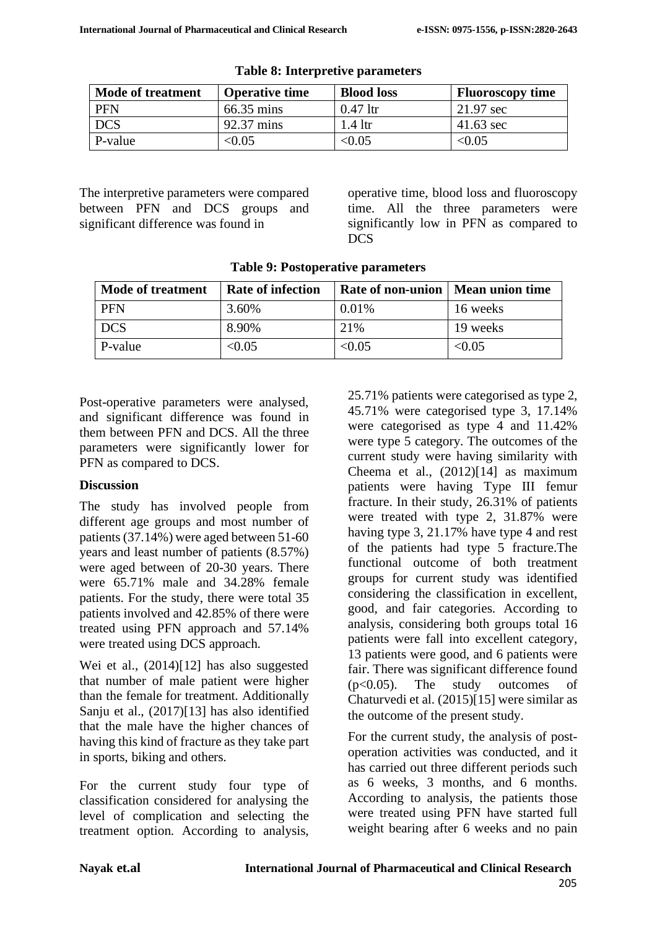| <b>Mode of treatment</b> | <b>Operative time</b> | <b>Blood loss</b> | <b>Fluoroscopy time</b> |
|--------------------------|-----------------------|-------------------|-------------------------|
| <b>PFN</b>               | 66.35 mins            | $0.47$ ltr        | 21.97 sec               |
| <b>DCS</b>               | 92.37 mins            | $1.4$ ltr         | $41.63 \text{ sec}$     |
| P-value                  | $<\!\!0.05$           | < 0.05            | < 0.05                  |

The interpretive parameters were compared between PFN and DCS groups and significant difference was found in

operative time, blood loss and fluoroscopy time. All the three parameters were significantly low in PFN as compared to DCS

| <b>Mode of treatment</b> | <b>Rate of infection</b> | Rate of non-union   Mean union time |          |
|--------------------------|--------------------------|-------------------------------------|----------|
| <b>PFN</b>               | 3.60%                    | 0.01%                               | 16 weeks |
| DCS                      | 8.90%                    | 21%                                 | 19 weeks |
| P-value                  | < 0.05                   | < 0.05                              | < 0.05   |

Post-operative parameters were analysed, and significant difference was found in them between PFN and DCS. All the three parameters were significantly lower for PFN as compared to DCS.

#### **Discussion**

The study has involved people from different age groups and most number of patients (37.14%) were aged between 51-60 years and least number of patients (8.57%) were aged between of 20-30 years. There were 65.71% male and 34.28% female patients. For the study, there were total 35 patients involved and 42.85% of there were treated using PFN approach and 57.14% were treated using DCS approach.

Wei et al., (2014)[12] has also suggested that number of male patient were higher than the female for treatment. Additionally Sanju et al., (2017)[13] has also identified that the male have the higher chances of having this kind of fracture as they take part in sports, biking and others.

For the current study four type of classification considered for analysing the level of complication and selecting the treatment option. According to analysis,

25.71% patients were categorised as type 2, 45.71% were categorised type 3, 17.14% were categorised as type 4 and 11.42% were type 5 category. The outcomes of the current study were having similarity with Cheema et al., (2012)[14] as maximum patients were having Type III femur fracture. In their study, 26.31% of patients were treated with type 2, 31.87% were having type 3, 21.17% have type 4 and rest of the patients had type 5 fracture.The functional outcome of both treatment groups for current study was identified considering the classification in excellent, good, and fair categories. According to analysis, considering both groups total 16 patients were fall into excellent category, 13 patients were good, and 6 patients were fair. There was significant difference found (p<0.05). The study outcomes of Chaturvedi et al. (2015)[15] were similar as the outcome of the present study.

For the current study, the analysis of postoperation activities was conducted, and it has carried out three different periods such as 6 weeks, 3 months, and 6 months. According to analysis, the patients those were treated using PFN have started full weight bearing after 6 weeks and no pain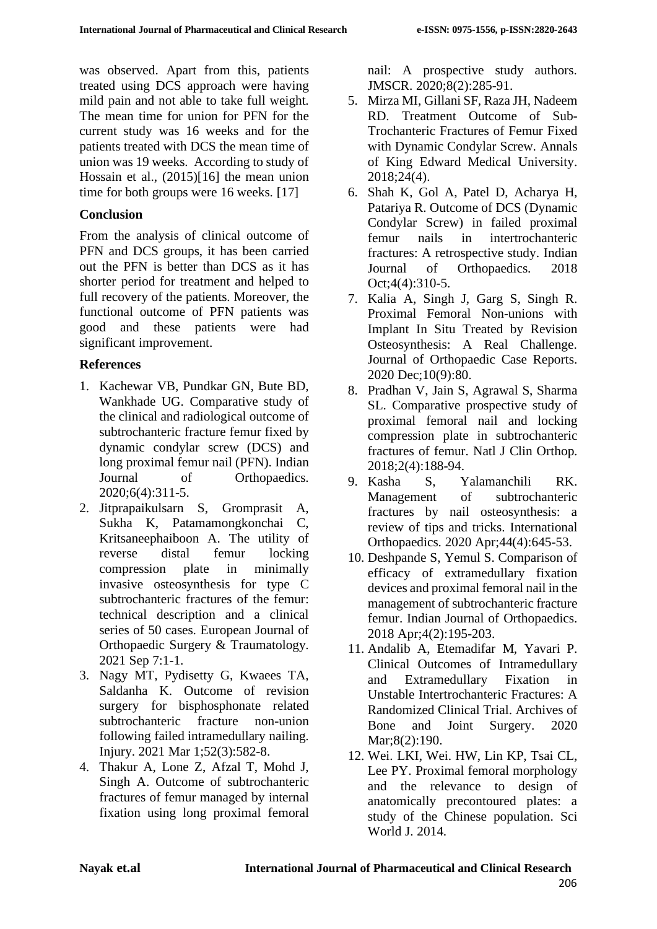was observed. Apart from this, patients treated using DCS approach were having mild pain and not able to take full weight. The mean time for union for PFN for the current study was 16 weeks and for the patients treated with DCS the mean time of union was 19 weeks. According to study of Hossain et al., (2015)[16] the mean union time for both groups were 16 weeks. [17]

### **Conclusion**

From the analysis of clinical outcome of PFN and DCS groups, it has been carried out the PFN is better than DCS as it has shorter period for treatment and helped to full recovery of the patients. Moreover, the functional outcome of PFN patients was good and these patients were had significant improvement.

# **References**

- 1. Kachewar VB, Pundkar GN, Bute BD, Wankhade UG. Comparative study of the clinical and radiological outcome of subtrochanteric fracture femur fixed by dynamic condylar screw (DCS) and long proximal femur nail (PFN). Indian Journal of Orthopaedics. 2020;6(4):311-5.
- 2. Jitprapaikulsarn S, Gromprasit A, Sukha K, Patamamongkonchai C, Kritsaneephaiboon A. The utility of reverse distal femur locking compression plate in minimally invasive osteosynthesis for type C subtrochanteric fractures of the femur: technical description and a clinical series of 50 cases. European Journal of Orthopaedic Surgery & Traumatology. 2021 Sep 7:1-1.
- 3. Nagy MT, Pydisetty G, Kwaees TA, Saldanha K. Outcome of revision surgery for bisphosphonate related subtrochanteric fracture non-union following failed intramedullary nailing. Injury. 2021 Mar 1;52(3):582-8.
- 4. Thakur A, Lone Z, Afzal T, Mohd J, Singh A. Outcome of subtrochanteric fractures of femur managed by internal fixation using long proximal femoral

nail: A prospective study authors. JMSCR. 2020;8(2):285-91.

- 5. Mirza MI, Gillani SF, Raza JH, Nadeem RD. Treatment Outcome of Sub-Trochanteric Fractures of Femur Fixed with Dynamic Condylar Screw. Annals of King Edward Medical University. 2018;24(4).
- 6. Shah K, Gol A, Patel D, Acharya H, Patariya R. Outcome of DCS (Dynamic Condylar Screw) in failed proximal femur nails in intertrochanteric fractures: A retrospective study. Indian Journal of Orthopaedics. 2018 Oct;4(4):310-5.
- 7. Kalia A, Singh J, Garg S, Singh R. Proximal Femoral Non-unions with Implant In Situ Treated by Revision Osteosynthesis: A Real Challenge. Journal of Orthopaedic Case Reports. 2020 Dec;10(9):80.
- 8. Pradhan V, Jain S, Agrawal S, Sharma SL. Comparative prospective study of proximal femoral nail and locking compression plate in subtrochanteric fractures of femur. Natl J Clin Orthop. 2018;2(4):188-94.
- 9. Kasha S, Yalamanchili RK. Management of subtrochanteric fractures by nail osteosynthesis: a review of tips and tricks. International Orthopaedics. 2020 Apr;44(4):645-53.
- 10. Deshpande S, Yemul S. Comparison of efficacy of extramedullary fixation devices and proximal femoral nail in the management of subtrochanteric fracture femur. Indian Journal of Orthopaedics. 2018 Apr;4(2):195-203.
- 11. Andalib A, Etemadifar M, Yavari P. Clinical Outcomes of Intramedullary and Extramedullary Fixation in Unstable Intertrochanteric Fractures: A Randomized Clinical Trial. Archives of Bone and Joint Surgery. 2020 Mar;8(2):190.
- 12. Wei. LKI, Wei. HW, Lin KP, Tsai CL, Lee PY. Proximal femoral morphology and the relevance to design of anatomically precontoured plates: a study of the Chinese population. Sci World J. 2014.